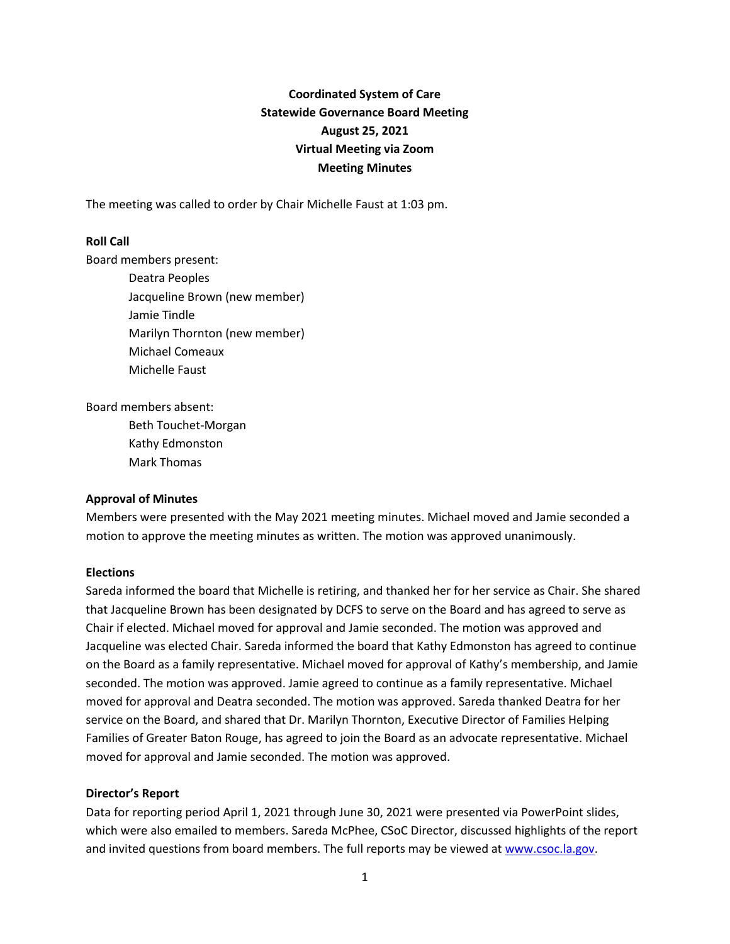# **Coordinated System of Care Statewide Governance Board Meeting August 25, 2021 Virtual Meeting via Zoom Meeting Minutes**

The meeting was called to order by Chair Michelle Faust at 1:03 pm.

# **Roll Call**

Board members present:

Deatra Peoples Jacqueline Brown (new member) Jamie Tindle Marilyn Thornton (new member) Michael Comeaux Michelle Faust

Board members absent:

Beth Touchet-Morgan Kathy Edmonston Mark Thomas

#### **Approval of Minutes**

Members were presented with the May 2021 meeting minutes. Michael moved and Jamie seconded a motion to approve the meeting minutes as written. The motion was approved unanimously.

#### **Elections**

Sareda informed the board that Michelle is retiring, and thanked her for her service as Chair. She shared that Jacqueline Brown has been designated by DCFS to serve on the Board and has agreed to serve as Chair if elected. Michael moved for approval and Jamie seconded. The motion was approved and Jacqueline was elected Chair. Sareda informed the board that Kathy Edmonston has agreed to continue on the Board as a family representative. Michael moved for approval of Kathy's membership, and Jamie seconded. The motion was approved. Jamie agreed to continue as a family representative. Michael moved for approval and Deatra seconded. The motion was approved. Sareda thanked Deatra for her service on the Board, and shared that Dr. Marilyn Thornton, Executive Director of Families Helping Families of Greater Baton Rouge, has agreed to join the Board as an advocate representative. Michael moved for approval and Jamie seconded. The motion was approved.

## **Director's Report**

Data for reporting period April 1, 2021 through June 30, 2021 were presented via PowerPoint slides, which were also emailed to members. Sareda McPhee, CSoC Director, discussed highlights of the report and invited questions from board members. The full reports may be viewed a[t www.csoc.la.gov.](http://www.csoc.la.gov/)